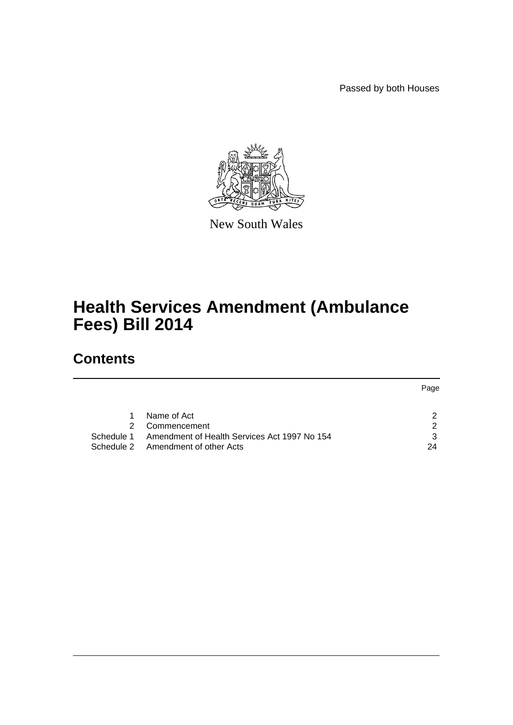Passed by both Houses



New South Wales

# **Health Services Amendment (Ambulance Fees) Bill 2014**

# **Contents**

|            |                                              | Page |
|------------|----------------------------------------------|------|
|            |                                              |      |
|            |                                              |      |
|            | Name of Act                                  |      |
| 2          | Commencement                                 | ົ    |
| Schedule 1 | Amendment of Health Services Act 1997 No 154 |      |
|            | Schedule 2 Amendment of other Acts           | 24   |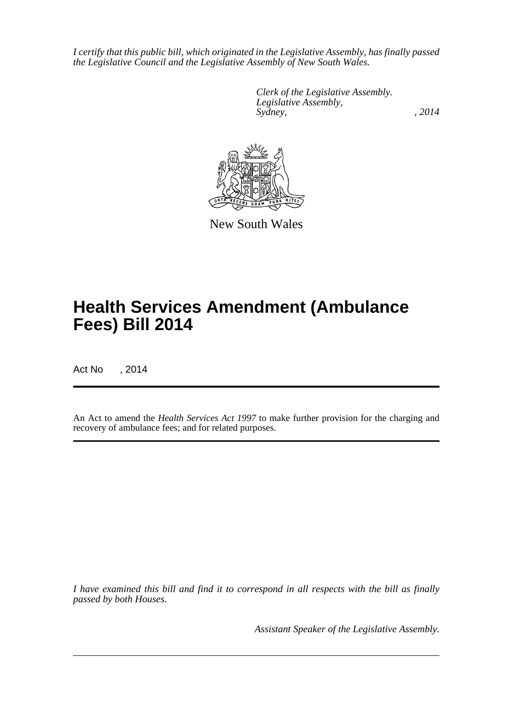*I certify that this public bill, which originated in the Legislative Assembly, has finally passed the Legislative Council and the Legislative Assembly of New South Wales.*

> *Clerk of the Legislative Assembly. Legislative Assembly, Sydney,* , 2014



New South Wales

# **Health Services Amendment (Ambulance Fees) Bill 2014**

Act No , 2014

An Act to amend the *Health Services Act 1997* to make further provision for the charging and recovery of ambulance fees; and for related purposes.

*I have examined this bill and find it to correspond in all respects with the bill as finally passed by both Houses.*

*Assistant Speaker of the Legislative Assembly.*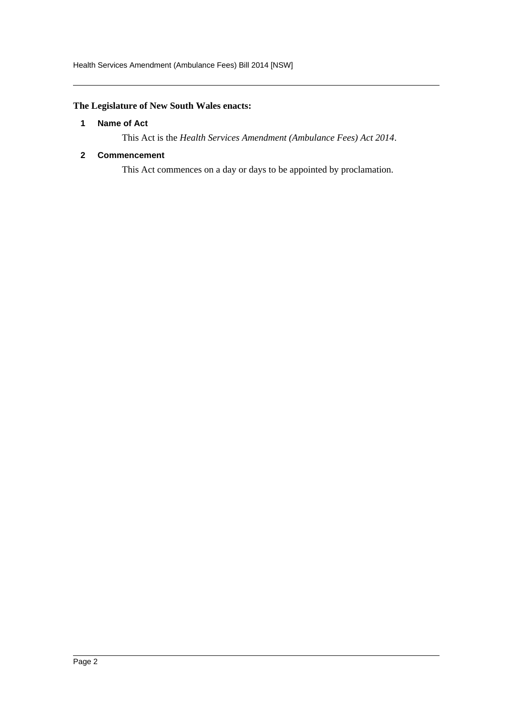#### <span id="page-2-0"></span>**The Legislature of New South Wales enacts:**

#### **1 Name of Act**

This Act is the *Health Services Amendment (Ambulance Fees) Act 2014*.

#### <span id="page-2-1"></span>**2 Commencement**

This Act commences on a day or days to be appointed by proclamation.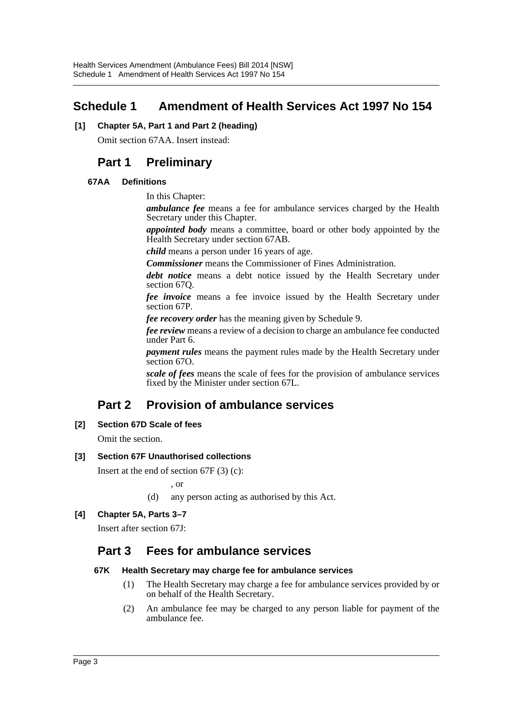# <span id="page-3-0"></span>**Schedule 1 Amendment of Health Services Act 1997 No 154**

#### **[1] Chapter 5A, Part 1 and Part 2 (heading)**

Omit section 67AA. Insert instead:

# **Part 1 Preliminary**

#### **67AA Definitions**

In this Chapter:

*ambulance fee* means a fee for ambulance services charged by the Health Secretary under this Chapter.

*appointed body* means a committee, board or other body appointed by the Health Secretary under section 67AB.

*child* means a person under 16 years of age.

*Commissioner* means the Commissioner of Fines Administration.

*debt notice* means a debt notice issued by the Health Secretary under section 67Q.

*fee invoice* means a fee invoice issued by the Health Secretary under section 67P.

*fee recovery order* has the meaning given by Schedule 9.

*fee review* means a review of a decision to charge an ambulance fee conducted under Part 6.

*payment rules* means the payment rules made by the Health Secretary under section 67O.

*scale of fees* means the scale of fees for the provision of ambulance services fixed by the Minister under section 67L.

# **Part 2 Provision of ambulance services**

#### **[2] Section 67D Scale of fees**

Omit the section.

#### **[3] Section 67F Unauthorised collections**

Insert at the end of section 67F (3) (c):

, or

(d) any person acting as authorised by this Act.

#### **[4] Chapter 5A, Parts 3–7**

Insert after section 67J:

# **Part 3 Fees for ambulance services**

#### **67K Health Secretary may charge fee for ambulance services**

- (1) The Health Secretary may charge a fee for ambulance services provided by or on behalf of the Health Secretary.
- (2) An ambulance fee may be charged to any person liable for payment of the ambulance fee.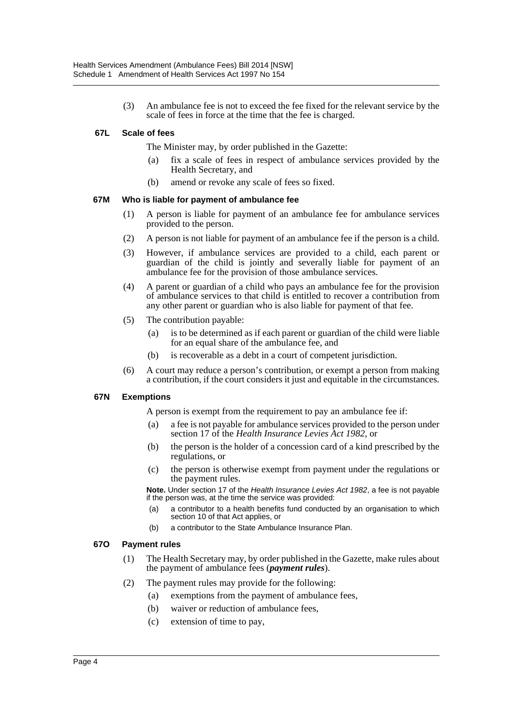(3) An ambulance fee is not to exceed the fee fixed for the relevant service by the scale of fees in force at the time that the fee is charged.

#### **67L Scale of fees**

The Minister may, by order published in the Gazette:

- (a) fix a scale of fees in respect of ambulance services provided by the Health Secretary, and
- (b) amend or revoke any scale of fees so fixed.

#### **67M Who is liable for payment of ambulance fee**

- (1) A person is liable for payment of an ambulance fee for ambulance services provided to the person.
- (2) A person is not liable for payment of an ambulance fee if the person is a child.
- (3) However, if ambulance services are provided to a child, each parent or guardian of the child is jointly and severally liable for payment of an ambulance fee for the provision of those ambulance services.
- (4) A parent or guardian of a child who pays an ambulance fee for the provision of ambulance services to that child is entitled to recover a contribution from any other parent or guardian who is also liable for payment of that fee.
- (5) The contribution payable:
	- (a) is to be determined as if each parent or guardian of the child were liable for an equal share of the ambulance fee, and
	- (b) is recoverable as a debt in a court of competent jurisdiction.
- (6) A court may reduce a person's contribution, or exempt a person from making a contribution, if the court considers it just and equitable in the circumstances.

#### **67N Exemptions**

A person is exempt from the requirement to pay an ambulance fee if:

- (a) a fee is not payable for ambulance services provided to the person under section 17 of the *Health Insurance Levies Act 1982*, or
- (b) the person is the holder of a concession card of a kind prescribed by the regulations, or
- (c) the person is otherwise exempt from payment under the regulations or the payment rules.

**Note.** Under section 17 of the *Health Insurance Levies Act 1982*, a fee is not payable if the person was, at the time the service was provided:

- (a) a contributor to a health benefits fund conducted by an organisation to which section 10 of that Act applies, or
- (b) a contributor to the State Ambulance Insurance Plan.

#### **67O Payment rules**

- (1) The Health Secretary may, by order published in the Gazette, make rules about the payment of ambulance fees (*payment rules*).
- (2) The payment rules may provide for the following:
	- (a) exemptions from the payment of ambulance fees,
	- (b) waiver or reduction of ambulance fees,
	- (c) extension of time to pay,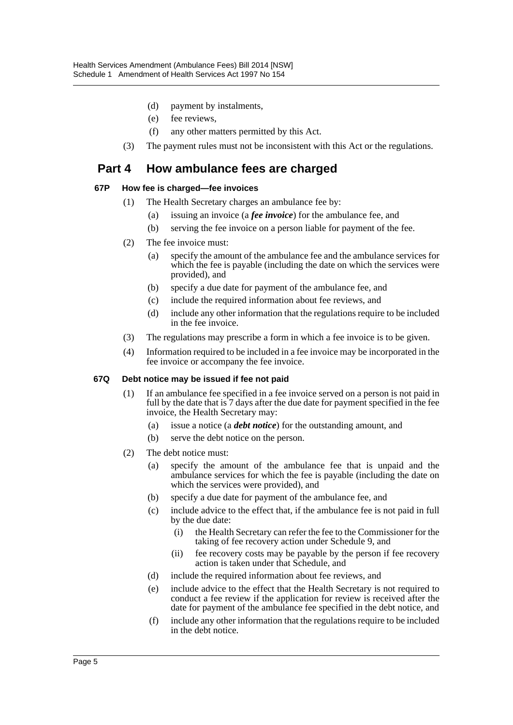- (d) payment by instalments,
- (e) fee reviews,
- (f) any other matters permitted by this Act.
- (3) The payment rules must not be inconsistent with this Act or the regulations.

## **Part 4 How ambulance fees are charged**

#### **67P How fee is charged—fee invoices**

- (1) The Health Secretary charges an ambulance fee by:
	- (a) issuing an invoice (a *fee invoice*) for the ambulance fee, and
	- (b) serving the fee invoice on a person liable for payment of the fee.
- (2) The fee invoice must:
	- (a) specify the amount of the ambulance fee and the ambulance services for which the fee is payable (including the date on which the services were provided), and
	- (b) specify a due date for payment of the ambulance fee, and
	- (c) include the required information about fee reviews, and
	- (d) include any other information that the regulations require to be included in the fee invoice.
- (3) The regulations may prescribe a form in which a fee invoice is to be given.
- (4) Information required to be included in a fee invoice may be incorporated in the fee invoice or accompany the fee invoice.

#### **67Q Debt notice may be issued if fee not paid**

- (1) If an ambulance fee specified in a fee invoice served on a person is not paid in full by the date that is  $\frac{7}{3}$  days after the due date for payment specified in the fee invoice, the Health Secretary may:
	- (a) issue a notice (a *debt notice*) for the outstanding amount, and
	- (b) serve the debt notice on the person.
- (2) The debt notice must:
	- (a) specify the amount of the ambulance fee that is unpaid and the ambulance services for which the fee is payable (including the date on which the services were provided), and
	- (b) specify a due date for payment of the ambulance fee, and
	- (c) include advice to the effect that, if the ambulance fee is not paid in full by the due date:
		- (i) the Health Secretary can refer the fee to the Commissioner for the taking of fee recovery action under Schedule 9, and
		- (ii) fee recovery costs may be payable by the person if fee recovery action is taken under that Schedule, and
	- (d) include the required information about fee reviews, and
	- (e) include advice to the effect that the Health Secretary is not required to conduct a fee review if the application for review is received after the date for payment of the ambulance fee specified in the debt notice, and
	- (f) include any other information that the regulations require to be included in the debt notice.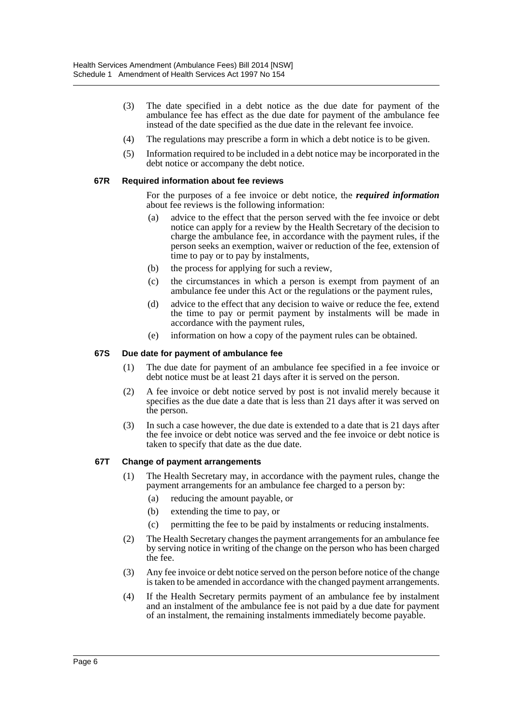- (3) The date specified in a debt notice as the due date for payment of the ambulance fee has effect as the due date for payment of the ambulance fee instead of the date specified as the due date in the relevant fee invoice.
- (4) The regulations may prescribe a form in which a debt notice is to be given.
- (5) Information required to be included in a debt notice may be incorporated in the debt notice or accompany the debt notice.

#### **67R Required information about fee reviews**

For the purposes of a fee invoice or debt notice, the *required information* about fee reviews is the following information:

- (a) advice to the effect that the person served with the fee invoice or debt notice can apply for a review by the Health Secretary of the decision to charge the ambulance fee, in accordance with the payment rules, if the person seeks an exemption, waiver or reduction of the fee, extension of time to pay or to pay by instalments,
- (b) the process for applying for such a review,
- (c) the circumstances in which a person is exempt from payment of an ambulance fee under this Act or the regulations or the payment rules,
- (d) advice to the effect that any decision to waive or reduce the fee, extend the time to pay or permit payment by instalments will be made in accordance with the payment rules,
- (e) information on how a copy of the payment rules can be obtained.

#### **67S Due date for payment of ambulance fee**

- (1) The due date for payment of an ambulance fee specified in a fee invoice or debt notice must be at least 21 days after it is served on the person.
- (2) A fee invoice or debt notice served by post is not invalid merely because it specifies as the due date a date that is less than 21 days after it was served on the person.
- (3) In such a case however, the due date is extended to a date that is 21 days after the fee invoice or debt notice was served and the fee invoice or debt notice is taken to specify that date as the due date.

#### **67T Change of payment arrangements**

- (1) The Health Secretary may, in accordance with the payment rules, change the payment arrangements for an ambulance fee charged to a person by:
	- (a) reducing the amount payable, or
	- (b) extending the time to pay, or
	- (c) permitting the fee to be paid by instalments or reducing instalments.
- (2) The Health Secretary changes the payment arrangements for an ambulance fee by serving notice in writing of the change on the person who has been charged the fee.
- (3) Any fee invoice or debt notice served on the person before notice of the change is taken to be amended in accordance with the changed payment arrangements.
- (4) If the Health Secretary permits payment of an ambulance fee by instalment and an instalment of the ambulance fee is not paid by a due date for payment of an instalment, the remaining instalments immediately become payable.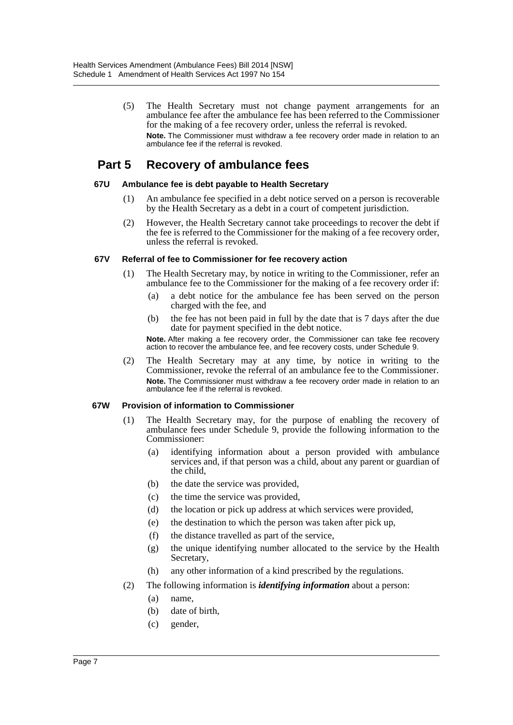(5) The Health Secretary must not change payment arrangements for an ambulance fee after the ambulance fee has been referred to the Commissioner for the making of a fee recovery order, unless the referral is revoked. **Note.** The Commissioner must withdraw a fee recovery order made in relation to an ambulance fee if the referral is revoked.

# **Part 5 Recovery of ambulance fees**

#### **67U Ambulance fee is debt payable to Health Secretary**

- (1) An ambulance fee specified in a debt notice served on a person is recoverable by the Health Secretary as a debt in a court of competent jurisdiction.
- (2) However, the Health Secretary cannot take proceedings to recover the debt if the fee is referred to the Commissioner for the making of a fee recovery order, unless the referral is revoked.

#### **67V Referral of fee to Commissioner for fee recovery action**

- (1) The Health Secretary may, by notice in writing to the Commissioner, refer an ambulance fee to the Commissioner for the making of a fee recovery order if:
	- (a) a debt notice for the ambulance fee has been served on the person charged with the fee, and
	- (b) the fee has not been paid in full by the date that is 7 days after the due date for payment specified in the debt notice.

**Note.** After making a fee recovery order, the Commissioner can take fee recovery action to recover the ambulance fee, and fee recovery costs, under Schedule 9.

(2) The Health Secretary may at any time, by notice in writing to the Commissioner, revoke the referral of an ambulance fee to the Commissioner. **Note.** The Commissioner must withdraw a fee recovery order made in relation to an ambulance fee if the referral is revoked.

#### **67W Provision of information to Commissioner**

- (1) The Health Secretary may, for the purpose of enabling the recovery of ambulance fees under Schedule 9, provide the following information to the Commissioner:
	- (a) identifying information about a person provided with ambulance services and, if that person was a child, about any parent or guardian of the child,
	- (b) the date the service was provided,
	- (c) the time the service was provided,
	- (d) the location or pick up address at which services were provided,
	- (e) the destination to which the person was taken after pick up,
	- (f) the distance travelled as part of the service,
	- (g) the unique identifying number allocated to the service by the Health Secretary,
	- (h) any other information of a kind prescribed by the regulations.
- (2) The following information is *identifying information* about a person:
	- (a) name,
	- (b) date of birth,
	- (c) gender,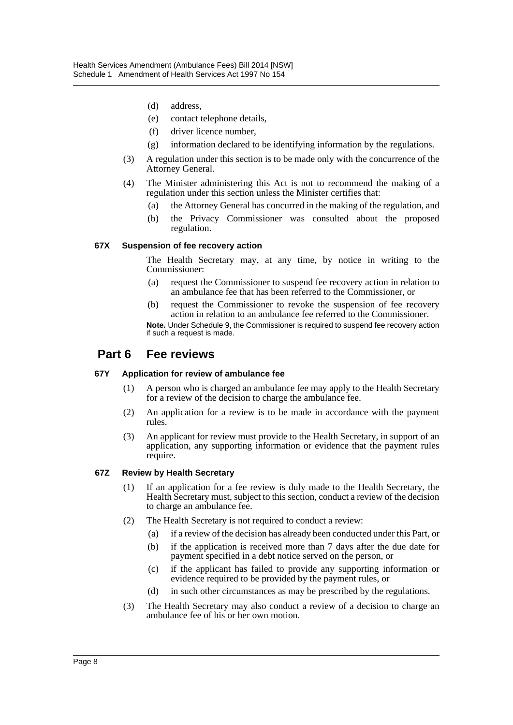- (d) address,
- (e) contact telephone details,
- (f) driver licence number,
- (g) information declared to be identifying information by the regulations.
- (3) A regulation under this section is to be made only with the concurrence of the Attorney General.
- (4) The Minister administering this Act is not to recommend the making of a regulation under this section unless the Minister certifies that:
	- (a) the Attorney General has concurred in the making of the regulation, and
	- (b) the Privacy Commissioner was consulted about the proposed regulation.

#### **67X Suspension of fee recovery action**

The Health Secretary may, at any time, by notice in writing to the Commissioner:

- (a) request the Commissioner to suspend fee recovery action in relation to an ambulance fee that has been referred to the Commissioner, or
- (b) request the Commissioner to revoke the suspension of fee recovery action in relation to an ambulance fee referred to the Commissioner.

**Note.** Under Schedule 9, the Commissioner is required to suspend fee recovery action if such a request is made.

## **Part 6 Fee reviews**

#### **67Y Application for review of ambulance fee**

- (1) A person who is charged an ambulance fee may apply to the Health Secretary for a review of the decision to charge the ambulance fee.
- (2) An application for a review is to be made in accordance with the payment rules.
- (3) An applicant for review must provide to the Health Secretary, in support of an application, any supporting information or evidence that the payment rules require.

#### **67Z Review by Health Secretary**

- (1) If an application for a fee review is duly made to the Health Secretary, the Health Secretary must, subject to this section, conduct a review of the decision to charge an ambulance fee.
- (2) The Health Secretary is not required to conduct a review:
	- (a) if a review of the decision has already been conducted under this Part, or
	- (b) if the application is received more than 7 days after the due date for payment specified in a debt notice served on the person, or
	- (c) if the applicant has failed to provide any supporting information or evidence required to be provided by the payment rules, or
	- (d) in such other circumstances as may be prescribed by the regulations.
- (3) The Health Secretary may also conduct a review of a decision to charge an ambulance fee of his or her own motion.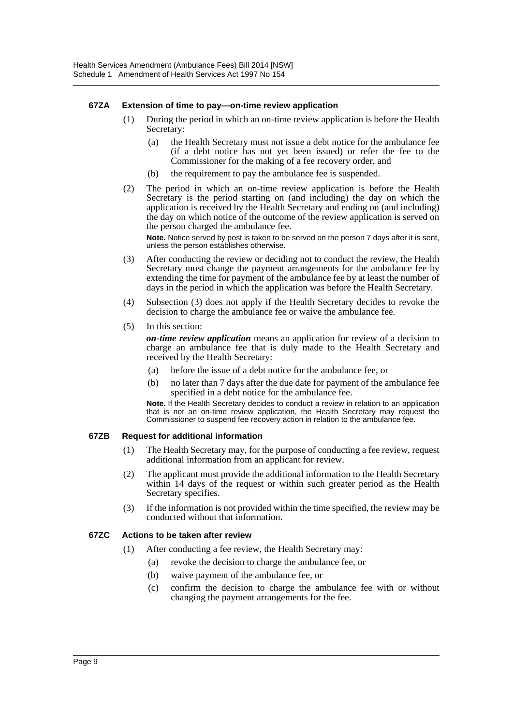#### **67ZA Extension of time to pay—on-time review application**

- (1) During the period in which an on-time review application is before the Health Secretary:
	- (a) the Health Secretary must not issue a debt notice for the ambulance fee (if a debt notice has not yet been issued) or refer the fee to the Commissioner for the making of a fee recovery order, and
	- (b) the requirement to pay the ambulance fee is suspended.
- (2) The period in which an on-time review application is before the Health Secretary is the period starting on (and including) the day on which the application is received by the Health Secretary and ending on (and including) the day on which notice of the outcome of the review application is served on the person charged the ambulance fee.

**Note.** Notice served by post is taken to be served on the person 7 days after it is sent, unless the person establishes otherwise.

- (3) After conducting the review or deciding not to conduct the review, the Health Secretary must change the payment arrangements for the ambulance fee by extending the time for payment of the ambulance fee by at least the number of days in the period in which the application was before the Health Secretary.
- (4) Subsection (3) does not apply if the Health Secretary decides to revoke the decision to charge the ambulance fee or waive the ambulance fee.
- (5) In this section:

*on-time review application* means an application for review of a decision to charge an ambulance fee that is duly made to the Health Secretary and received by the Health Secretary:

- (a) before the issue of a debt notice for the ambulance fee, or
- (b) no later than 7 days after the due date for payment of the ambulance fee specified in a debt notice for the ambulance fee.

**Note.** If the Health Secretary decides to conduct a review in relation to an application that is not an on-time review application, the Health Secretary may request the Commissioner to suspend fee recovery action in relation to the ambulance fee.

#### **67ZB Request for additional information**

- (1) The Health Secretary may, for the purpose of conducting a fee review, request additional information from an applicant for review.
- (2) The applicant must provide the additional information to the Health Secretary within 14 days of the request or within such greater period as the Health Secretary specifies.
- (3) If the information is not provided within the time specified, the review may be conducted without that information.

#### **67ZC Actions to be taken after review**

- (1) After conducting a fee review, the Health Secretary may:
	- (a) revoke the decision to charge the ambulance fee, or
	- (b) waive payment of the ambulance fee, or
	- (c) confirm the decision to charge the ambulance fee with or without changing the payment arrangements for the fee.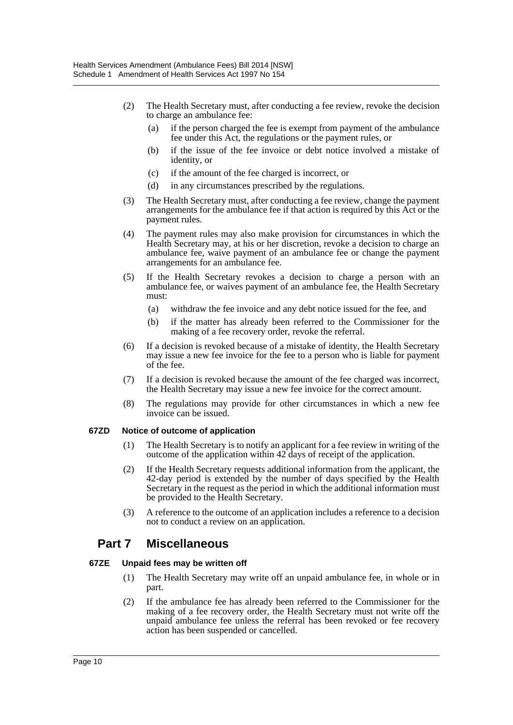- (2) The Health Secretary must, after conducting a fee review, revoke the decision to charge an ambulance fee:
	- (a) if the person charged the fee is exempt from payment of the ambulance fee under this Act, the regulations or the payment rules, or
	- (b) if the issue of the fee invoice or debt notice involved a mistake of identity, or
	- (c) if the amount of the fee charged is incorrect, or
	- (d) in any circumstances prescribed by the regulations.
- (3) The Health Secretary must, after conducting a fee review, change the payment arrangements for the ambulance fee if that action is required by this Act or the payment rules.
- (4) The payment rules may also make provision for circumstances in which the Health Secretary may, at his or her discretion, revoke a decision to charge an ambulance fee, waive payment of an ambulance fee or change the payment arrangements for an ambulance fee.
- (5) If the Health Secretary revokes a decision to charge a person with an ambulance fee, or waives payment of an ambulance fee, the Health Secretary must:
	- (a) withdraw the fee invoice and any debt notice issued for the fee, and
	- (b) if the matter has already been referred to the Commissioner for the making of a fee recovery order, revoke the referral.
- (6) If a decision is revoked because of a mistake of identity, the Health Secretary may issue a new fee invoice for the fee to a person who is liable for payment of the fee.
- (7) If a decision is revoked because the amount of the fee charged was incorrect, the Health Secretary may issue a new fee invoice for the correct amount.
- (8) The regulations may provide for other circumstances in which a new fee invoice can be issued.

#### **67ZD Notice of outcome of application**

- (1) The Health Secretary is to notify an applicant for a fee review in writing of the outcome of the application within 42 days of receipt of the application.
- (2) If the Health Secretary requests additional information from the applicant, the 42-day period is extended by the number of days specified by the Health Secretary in the request as the period in which the additional information must be provided to the Health Secretary.
- (3) A reference to the outcome of an application includes a reference to a decision not to conduct a review on an application.

## **Part 7 Miscellaneous**

#### **67ZE Unpaid fees may be written off**

- (1) The Health Secretary may write off an unpaid ambulance fee, in whole or in part.
- (2) If the ambulance fee has already been referred to the Commissioner for the making of a fee recovery order, the Health Secretary must not write off the unpaid ambulance fee unless the referral has been revoked or fee recovery action has been suspended or cancelled.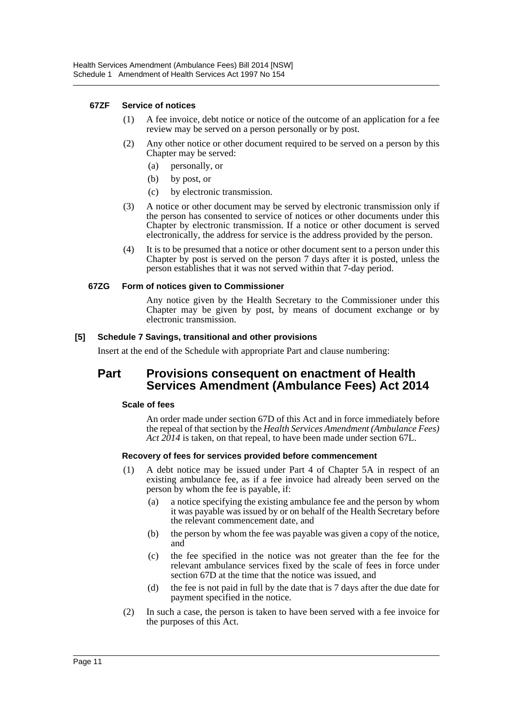#### **67ZF Service of notices**

- (1) A fee invoice, debt notice or notice of the outcome of an application for a fee review may be served on a person personally or by post.
- (2) Any other notice or other document required to be served on a person by this Chapter may be served:
	- (a) personally, or
	- (b) by post, or
	- (c) by electronic transmission.
- (3) A notice or other document may be served by electronic transmission only if the person has consented to service of notices or other documents under this Chapter by electronic transmission. If a notice or other document is served electronically, the address for service is the address provided by the person.
- (4) It is to be presumed that a notice or other document sent to a person under this Chapter by post is served on the person 7 days after it is posted, unless the person establishes that it was not served within that 7-day period.

#### **67ZG Form of notices given to Commissioner**

Any notice given by the Health Secretary to the Commissioner under this Chapter may be given by post, by means of document exchange or by electronic transmission.

#### **[5] Schedule 7 Savings, transitional and other provisions**

Insert at the end of the Schedule with appropriate Part and clause numbering:

### **Part Provisions consequent on enactment of Health Services Amendment (Ambulance Fees) Act 2014**

#### **Scale of fees**

An order made under section 67D of this Act and in force immediately before the repeal of that section by the *Health Services Amendment (Ambulance Fees) Act 2014* is taken, on that repeal, to have been made under section 67L.

#### **Recovery of fees for services provided before commencement**

- (1) A debt notice may be issued under Part 4 of Chapter 5A in respect of an existing ambulance fee, as if a fee invoice had already been served on the person by whom the fee is payable, if:
	- (a) a notice specifying the existing ambulance fee and the person by whom it was payable was issued by or on behalf of the Health Secretary before the relevant commencement date, and
	- (b) the person by whom the fee was payable was given a copy of the notice, and
	- (c) the fee specified in the notice was not greater than the fee for the relevant ambulance services fixed by the scale of fees in force under section 67D at the time that the notice was issued, and
	- (d) the fee is not paid in full by the date that is 7 days after the due date for payment specified in the notice.
- (2) In such a case, the person is taken to have been served with a fee invoice for the purposes of this Act.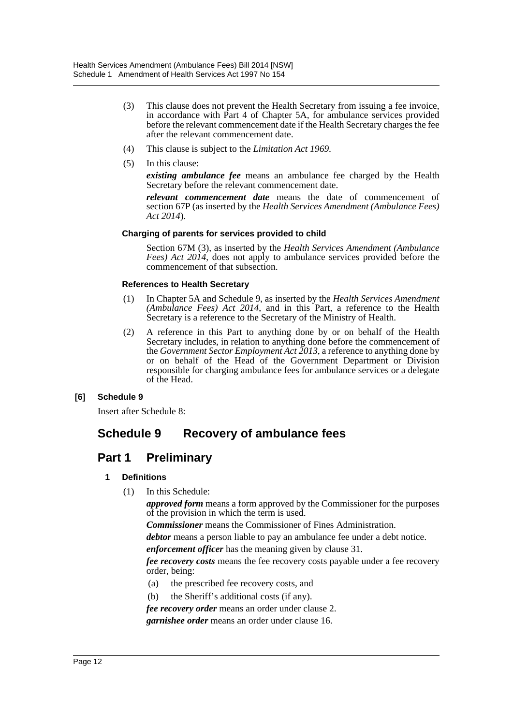- (3) This clause does not prevent the Health Secretary from issuing a fee invoice, in accordance with Part 4 of Chapter 5A, for ambulance services provided before the relevant commencement date if the Health Secretary charges the fee after the relevant commencement date.
- (4) This clause is subject to the *Limitation Act 1969*.
- (5) In this clause:

*existing ambulance fee* means an ambulance fee charged by the Health Secretary before the relevant commencement date.

*relevant commencement date* means the date of commencement of section 67P (as inserted by the *Health Services Amendment (Ambulance Fees) Act 2014*).

#### **Charging of parents for services provided to child**

Section 67M (3), as inserted by the *Health Services Amendment (Ambulance Fees) Act 2014*, does not apply to ambulance services provided before the commencement of that subsection.

#### **References to Health Secretary**

- (1) In Chapter 5A and Schedule 9, as inserted by the *Health Services Amendment (Ambulance Fees) Act 2014*, and in this Part, a reference to the Health Secretary is a reference to the Secretary of the Ministry of Health.
- (2) A reference in this Part to anything done by or on behalf of the Health Secretary includes, in relation to anything done before the commencement of the *Government Sector Employment Act 2013*, a reference to anything done by or on behalf of the Head of the Government Department or Division responsible for charging ambulance fees for ambulance services or a delegate of the Head.

#### **[6] Schedule 9**

Insert after Schedule 8:

# **Schedule 9 Recovery of ambulance fees**

## **Part 1 Preliminary**

#### **1 Definitions**

(1) In this Schedule:

*approved form* means a form approved by the Commissioner for the purposes of the provision in which the term is used.

*Commissioner* means the Commissioner of Fines Administration.

*debtor* means a person liable to pay an ambulance fee under a debt notice.

*enforcement officer* has the meaning given by clause 31.

*fee recovery costs* means the fee recovery costs payable under a fee recovery order, being:

- (a) the prescribed fee recovery costs, and
- (b) the Sheriff's additional costs (if any).

*fee recovery order* means an order under clause 2.

*garnishee order* means an order under clause 16.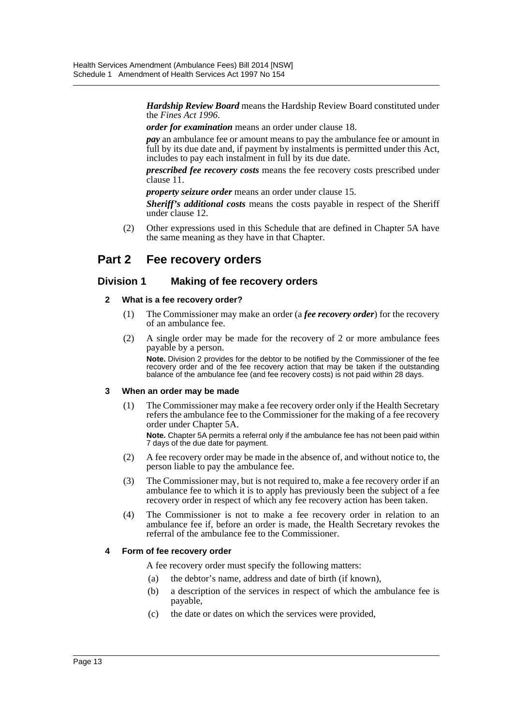*Hardship Review Board* means the Hardship Review Board constituted under the *Fines Act 1996*.

*order for examination* means an order under clause 18.

*pay* an ambulance fee or amount means to pay the ambulance fee or amount in full by its due date and, if payment by instalments is permitted under this Act, includes to pay each instalment in full by its due date.

*prescribed fee recovery costs* means the fee recovery costs prescribed under clause 11.

*property seizure order* means an order under clause 15.

*Sheriff's additional costs* means the costs payable in respect of the Sheriff under clause 12.

(2) Other expressions used in this Schedule that are defined in Chapter 5A have the same meaning as they have in that Chapter.

# **Part 2 Fee recovery orders**

### **Division 1 Making of fee recovery orders**

#### **2 What is a fee recovery order?**

- (1) The Commissioner may make an order (a *fee recovery order*) for the recovery of an ambulance fee.
- (2) A single order may be made for the recovery of 2 or more ambulance fees payable by a person.

**Note.** Division 2 provides for the debtor to be notified by the Commissioner of the fee recovery order and of the fee recovery action that may be taken if the outstanding balance of the ambulance fee (and fee recovery costs) is not paid within 28 days.

#### **3 When an order may be made**

- (1) The Commissioner may make a fee recovery order only if the Health Secretary refers the ambulance fee to the Commissioner for the making of a fee recovery order under Chapter 5A. **Note.** Chapter 5A permits a referral only if the ambulance fee has not been paid within 7 days of the due date for payment.
- (2) A fee recovery order may be made in the absence of, and without notice to, the person liable to pay the ambulance fee.
- (3) The Commissioner may, but is not required to, make a fee recovery order if an ambulance fee to which it is to apply has previously been the subject of a fee recovery order in respect of which any fee recovery action has been taken.
- (4) The Commissioner is not to make a fee recovery order in relation to an ambulance fee if, before an order is made, the Health Secretary revokes the referral of the ambulance fee to the Commissioner.

#### **4 Form of fee recovery order**

A fee recovery order must specify the following matters:

- (a) the debtor's name, address and date of birth (if known),
- (b) a description of the services in respect of which the ambulance fee is payable,
- (c) the date or dates on which the services were provided,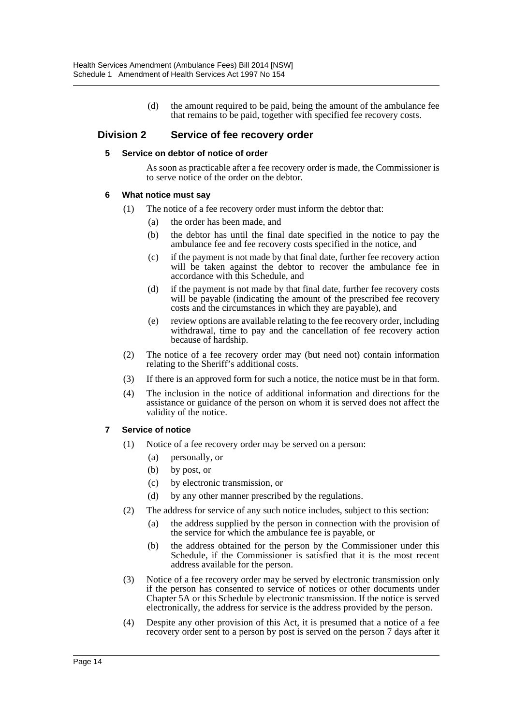(d) the amount required to be paid, being the amount of the ambulance fee that remains to be paid, together with specified fee recovery costs.

#### **Division 2 Service of fee recovery order**

#### **5 Service on debtor of notice of order**

As soon as practicable after a fee recovery order is made, the Commissioner is to serve notice of the order on the debtor.

#### **6 What notice must say**

- (1) The notice of a fee recovery order must inform the debtor that:
	- (a) the order has been made, and
	- (b) the debtor has until the final date specified in the notice to pay the ambulance fee and fee recovery costs specified in the notice, and
	- (c) if the payment is not made by that final date, further fee recovery action will be taken against the debtor to recover the ambulance fee in accordance with this Schedule, and
	- (d) if the payment is not made by that final date, further fee recovery costs will be payable (indicating the amount of the prescribed fee recovery costs and the circumstances in which they are payable), and
	- (e) review options are available relating to the fee recovery order, including withdrawal, time to pay and the cancellation of fee recovery action because of hardship.
- (2) The notice of a fee recovery order may (but need not) contain information relating to the Sheriff's additional costs.
- (3) If there is an approved form for such a notice, the notice must be in that form.
- (4) The inclusion in the notice of additional information and directions for the assistance or guidance of the person on whom it is served does not affect the validity of the notice.

#### **7 Service of notice**

- (1) Notice of a fee recovery order may be served on a person:
	- (a) personally, or
	- (b) by post, or
	- (c) by electronic transmission, or
	- (d) by any other manner prescribed by the regulations.
- (2) The address for service of any such notice includes, subject to this section:
	- (a) the address supplied by the person in connection with the provision of the service for which the ambulance fee is payable, or
	- (b) the address obtained for the person by the Commissioner under this Schedule, if the Commissioner is satisfied that it is the most recent address available for the person.
- (3) Notice of a fee recovery order may be served by electronic transmission only if the person has consented to service of notices or other documents under Chapter 5A or this Schedule by electronic transmission. If the notice is served electronically, the address for service is the address provided by the person.
- (4) Despite any other provision of this Act, it is presumed that a notice of a fee recovery order sent to a person by post is served on the person 7 days after it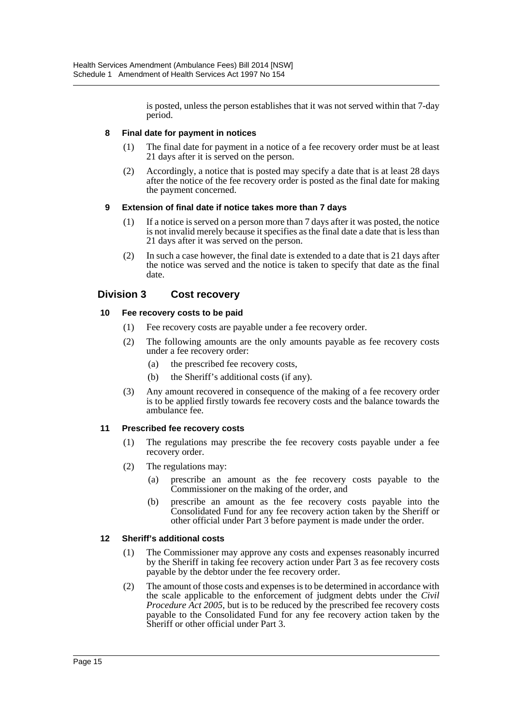is posted, unless the person establishes that it was not served within that 7-day period.

#### **8 Final date for payment in notices**

- (1) The final date for payment in a notice of a fee recovery order must be at least 21 days after it is served on the person.
- (2) Accordingly, a notice that is posted may specify a date that is at least 28 days after the notice of the fee recovery order is posted as the final date for making the payment concerned.

#### **9 Extension of final date if notice takes more than 7 days**

- (1) If a notice is served on a person more than 7 days after it was posted, the notice is not invalid merely because it specifies as the final date a date that is less than 21 days after it was served on the person.
- (2) In such a case however, the final date is extended to a date that is 21 days after the notice was served and the notice is taken to specify that date as the final date.

### **Division 3 Cost recovery**

#### **10 Fee recovery costs to be paid**

- (1) Fee recovery costs are payable under a fee recovery order.
- (2) The following amounts are the only amounts payable as fee recovery costs under a fee recovery order:
	- (a) the prescribed fee recovery costs,
	- (b) the Sheriff's additional costs (if any).
- (3) Any amount recovered in consequence of the making of a fee recovery order is to be applied firstly towards fee recovery costs and the balance towards the ambulance fee.

#### **11 Prescribed fee recovery costs**

- (1) The regulations may prescribe the fee recovery costs payable under a fee recovery order.
- (2) The regulations may:
	- (a) prescribe an amount as the fee recovery costs payable to the Commissioner on the making of the order, and
	- (b) prescribe an amount as the fee recovery costs payable into the Consolidated Fund for any fee recovery action taken by the Sheriff or other official under Part 3 before payment is made under the order.

#### **12 Sheriff's additional costs**

- (1) The Commissioner may approve any costs and expenses reasonably incurred by the Sheriff in taking fee recovery action under Part 3 as fee recovery costs payable by the debtor under the fee recovery order.
- (2) The amount of those costs and expenses is to be determined in accordance with the scale applicable to the enforcement of judgment debts under the *Civil Procedure Act 2005*, but is to be reduced by the prescribed fee recovery costs payable to the Consolidated Fund for any fee recovery action taken by the Sheriff or other official under Part 3.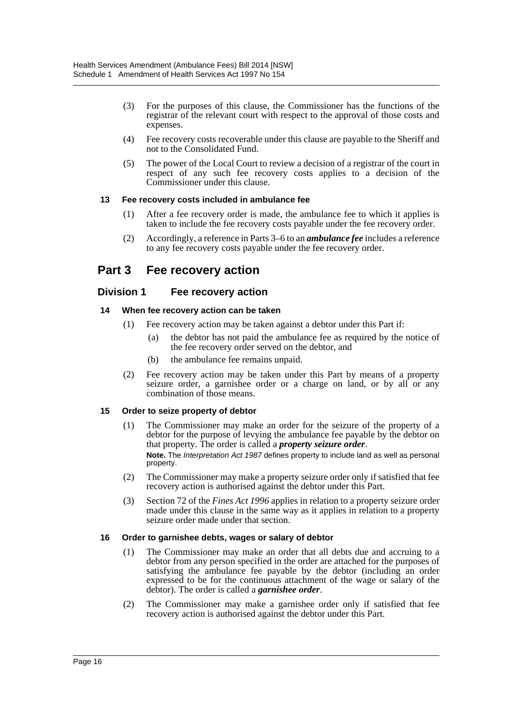- (3) For the purposes of this clause, the Commissioner has the functions of the registrar of the relevant court with respect to the approval of those costs and expenses.
- (4) Fee recovery costs recoverable under this clause are payable to the Sheriff and not to the Consolidated Fund.
- (5) The power of the Local Court to review a decision of a registrar of the court in respect of any such fee recovery costs applies to a decision of the Commissioner under this clause.

#### **13 Fee recovery costs included in ambulance fee**

- (1) After a fee recovery order is made, the ambulance fee to which it applies is taken to include the fee recovery costs payable under the fee recovery order.
- (2) Accordingly, a reference in Parts 3–6 to an *ambulance fee* includes a reference to any fee recovery costs payable under the fee recovery order.

# **Part 3 Fee recovery action**

### **Division 1 Fee recovery action**

#### **14 When fee recovery action can be taken**

- (1) Fee recovery action may be taken against a debtor under this Part if:
	- (a) the debtor has not paid the ambulance fee as required by the notice of the fee recovery order served on the debtor, and
	- (b) the ambulance fee remains unpaid.
- (2) Fee recovery action may be taken under this Part by means of a property seizure order, a garnishee order or a charge on land, or by all or any combination of those means.

#### **15 Order to seize property of debtor**

- (1) The Commissioner may make an order for the seizure of the property of a debtor for the purpose of levying the ambulance fee payable by the debtor on that property. The order is called a *property seizure order*. **Note.** The *Interpretation Act 1987* defines property to include land as well as personal property.
- (2) The Commissioner may make a property seizure order only if satisfied that fee recovery action is authorised against the debtor under this Part.
- (3) Section 72 of the *Fines Act 1996* applies in relation to a property seizure order made under this clause in the same way as it applies in relation to a property seizure order made under that section.

#### **16 Order to garnishee debts, wages or salary of debtor**

- (1) The Commissioner may make an order that all debts due and accruing to a debtor from any person specified in the order are attached for the purposes of satisfying the ambulance fee payable by the debtor (including an order expressed to be for the continuous attachment of the wage or salary of the debtor). The order is called a *garnishee order*.
- (2) The Commissioner may make a garnishee order only if satisfied that fee recovery action is authorised against the debtor under this Part.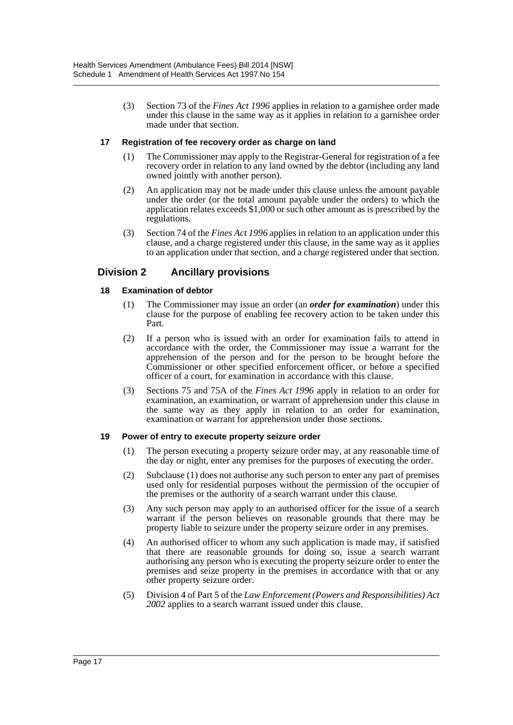(3) Section 73 of the *Fines Act 1996* applies in relation to a garnishee order made under this clause in the same way as it applies in relation to a garnishee order made under that section.

#### **17 Registration of fee recovery order as charge on land**

- (1) The Commissioner may apply to the Registrar-General for registration of a fee recovery order in relation to any land owned by the debtor (including any land owned jointly with another person).
- (2) An application may not be made under this clause unless the amount payable under the order (or the total amount payable under the orders) to which the application relates exceeds \$1,000 or such other amount as is prescribed by the regulations.
- (3) Section 74 of the *Fines Act 1996* applies in relation to an application under this clause, and a charge registered under this clause, in the same way as it applies to an application under that section, and a charge registered under that section.

### **Division 2 Ancillary provisions**

#### **18 Examination of debtor**

- (1) The Commissioner may issue an order (an *order for examination*) under this clause for the purpose of enabling fee recovery action to be taken under this Part.
- (2) If a person who is issued with an order for examination fails to attend in accordance with the order, the Commissioner may issue a warrant for the apprehension of the person and for the person to be brought before the Commissioner or other specified enforcement officer, or before a specified officer of a court, for examination in accordance with this clause.
- (3) Sections 75 and 75A of the *Fines Act 1996* apply in relation to an order for examination, an examination, or warrant of apprehension under this clause in the same way as they apply in relation to an order for examination, examination or warrant for apprehension under those sections.

#### **19 Power of entry to execute property seizure order**

- (1) The person executing a property seizure order may, at any reasonable time of the day or night, enter any premises for the purposes of executing the order.
- (2) Subclause (1) does not authorise any such person to enter any part of premises used only for residential purposes without the permission of the occupier of the premises or the authority of a search warrant under this clause.
- (3) Any such person may apply to an authorised officer for the issue of a search warrant if the person believes on reasonable grounds that there may be property liable to seizure under the property seizure order in any premises.
- (4) An authorised officer to whom any such application is made may, if satisfied that there are reasonable grounds for doing so, issue a search warrant authorising any person who is executing the property seizure order to enter the premises and seize property in the premises in accordance with that or any other property seizure order.
- (5) Division 4 of Part 5 of the *Law Enforcement (Powers and Responsibilities) Act 2002* applies to a search warrant issued under this clause.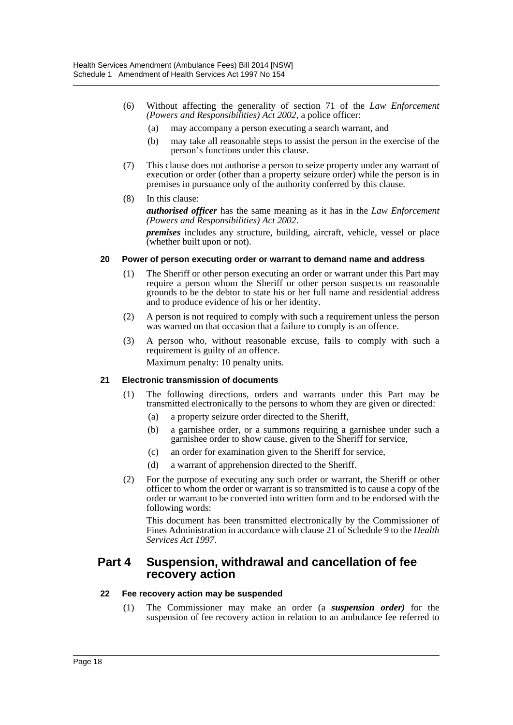- (6) Without affecting the generality of section 71 of the *Law Enforcement (Powers and Responsibilities) Act 2002*, a police officer:
	- (a) may accompany a person executing a search warrant, and
	- (b) may take all reasonable steps to assist the person in the exercise of the person's functions under this clause.
- (7) This clause does not authorise a person to seize property under any warrant of execution or order (other than a property seizure order) while the person is in premises in pursuance only of the authority conferred by this clause.
- (8) In this clause:

*authorised officer* has the same meaning as it has in the *Law Enforcement (Powers and Responsibilities) Act 2002*.

*premises* includes any structure, building, aircraft, vehicle, vessel or place (whether built upon or not).

#### **20 Power of person executing order or warrant to demand name and address**

- (1) The Sheriff or other person executing an order or warrant under this Part may require a person whom the Sheriff or other person suspects on reasonable grounds to be the debtor to state his or her full name and residential address and to produce evidence of his or her identity.
- (2) A person is not required to comply with such a requirement unless the person was warned on that occasion that a failure to comply is an offence.
- (3) A person who, without reasonable excuse, fails to comply with such a requirement is guilty of an offence.

Maximum penalty: 10 penalty units.

#### **21 Electronic transmission of documents**

- (1) The following directions, orders and warrants under this Part may be transmitted electronically to the persons to whom they are given or directed:
	- (a) a property seizure order directed to the Sheriff,
	- (b) a garnishee order, or a summons requiring a garnishee under such a garnishee order to show cause, given to the Sheriff for service,
	- (c) an order for examination given to the Sheriff for service,
	- (d) a warrant of apprehension directed to the Sheriff.
- (2) For the purpose of executing any such order or warrant, the Sheriff or other officer to whom the order or warrant is so transmitted is to cause a copy of the order or warrant to be converted into written form and to be endorsed with the following words:

This document has been transmitted electronically by the Commissioner of Fines Administration in accordance with clause 21 of Schedule 9 to the *Health Services Act 1997*.

### **Part 4 Suspension, withdrawal and cancellation of fee recovery action**

#### **22 Fee recovery action may be suspended**

(1) The Commissioner may make an order (a *suspension order)* for the suspension of fee recovery action in relation to an ambulance fee referred to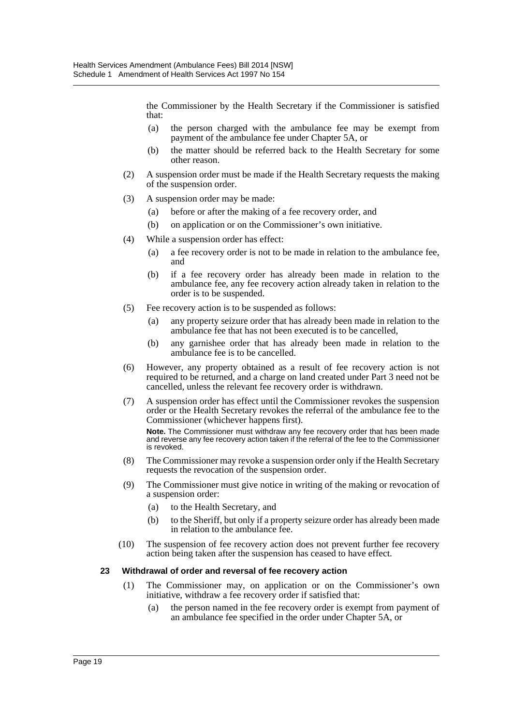the Commissioner by the Health Secretary if the Commissioner is satisfied that:

- (a) the person charged with the ambulance fee may be exempt from payment of the ambulance fee under Chapter 5A, or
- (b) the matter should be referred back to the Health Secretary for some other reason.
- (2) A suspension order must be made if the Health Secretary requests the making of the suspension order.
- (3) A suspension order may be made:
	- (a) before or after the making of a fee recovery order, and
	- (b) on application or on the Commissioner's own initiative.
- (4) While a suspension order has effect:
	- (a) a fee recovery order is not to be made in relation to the ambulance fee, and
	- (b) if a fee recovery order has already been made in relation to the ambulance fee, any fee recovery action already taken in relation to the order is to be suspended.
- (5) Fee recovery action is to be suspended as follows:
	- (a) any property seizure order that has already been made in relation to the ambulance fee that has not been executed is to be cancelled,
	- (b) any garnishee order that has already been made in relation to the ambulance fee is to be cancelled.
- (6) However, any property obtained as a result of fee recovery action is not required to be returned, and a charge on land created under Part 3 need not be cancelled, unless the relevant fee recovery order is withdrawn.
- (7) A suspension order has effect until the Commissioner revokes the suspension order or the Health Secretary revokes the referral of the ambulance fee to the Commissioner (whichever happens first).

**Note.** The Commissioner must withdraw any fee recovery order that has been made and reverse any fee recovery action taken if the referral of the fee to the Commissioner is revoked.

- (8) The Commissioner may revoke a suspension order only if the Health Secretary requests the revocation of the suspension order.
- (9) The Commissioner must give notice in writing of the making or revocation of a suspension order:
	- (a) to the Health Secretary, and
	- (b) to the Sheriff, but only if a property seizure order has already been made in relation to the ambulance fee.
- (10) The suspension of fee recovery action does not prevent further fee recovery action being taken after the suspension has ceased to have effect.

#### **23 Withdrawal of order and reversal of fee recovery action**

- (1) The Commissioner may, on application or on the Commissioner's own initiative, withdraw a fee recovery order if satisfied that:
	- (a) the person named in the fee recovery order is exempt from payment of an ambulance fee specified in the order under Chapter 5A, or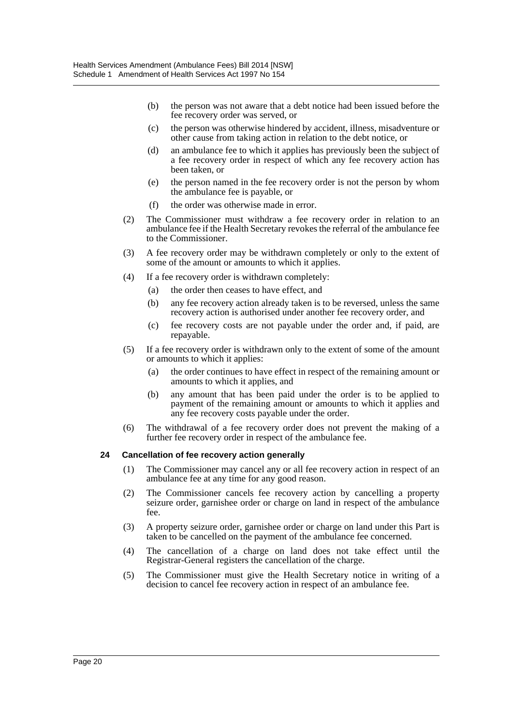- (b) the person was not aware that a debt notice had been issued before the fee recovery order was served, or
- (c) the person was otherwise hindered by accident, illness, misadventure or other cause from taking action in relation to the debt notice, or
- (d) an ambulance fee to which it applies has previously been the subject of a fee recovery order in respect of which any fee recovery action has been taken, or
- (e) the person named in the fee recovery order is not the person by whom the ambulance fee is payable, or
- (f) the order was otherwise made in error.
- (2) The Commissioner must withdraw a fee recovery order in relation to an ambulance fee if the Health Secretary revokes the referral of the ambulance fee to the Commissioner.
- (3) A fee recovery order may be withdrawn completely or only to the extent of some of the amount or amounts to which it applies.
- (4) If a fee recovery order is withdrawn completely:
	- (a) the order then ceases to have effect, and
	- (b) any fee recovery action already taken is to be reversed, unless the same recovery action is authorised under another fee recovery order, and
	- (c) fee recovery costs are not payable under the order and, if paid, are repayable.
- (5) If a fee recovery order is withdrawn only to the extent of some of the amount or amounts to which it applies:
	- (a) the order continues to have effect in respect of the remaining amount or amounts to which it applies, and
	- (b) any amount that has been paid under the order is to be applied to payment of the remaining amount or amounts to which it applies and any fee recovery costs payable under the order.
- (6) The withdrawal of a fee recovery order does not prevent the making of a further fee recovery order in respect of the ambulance fee.

#### **24 Cancellation of fee recovery action generally**

- (1) The Commissioner may cancel any or all fee recovery action in respect of an ambulance fee at any time for any good reason.
- (2) The Commissioner cancels fee recovery action by cancelling a property seizure order, garnishee order or charge on land in respect of the ambulance fee.
- (3) A property seizure order, garnishee order or charge on land under this Part is taken to be cancelled on the payment of the ambulance fee concerned.
- (4) The cancellation of a charge on land does not take effect until the Registrar-General registers the cancellation of the charge.
- (5) The Commissioner must give the Health Secretary notice in writing of a decision to cancel fee recovery action in respect of an ambulance fee.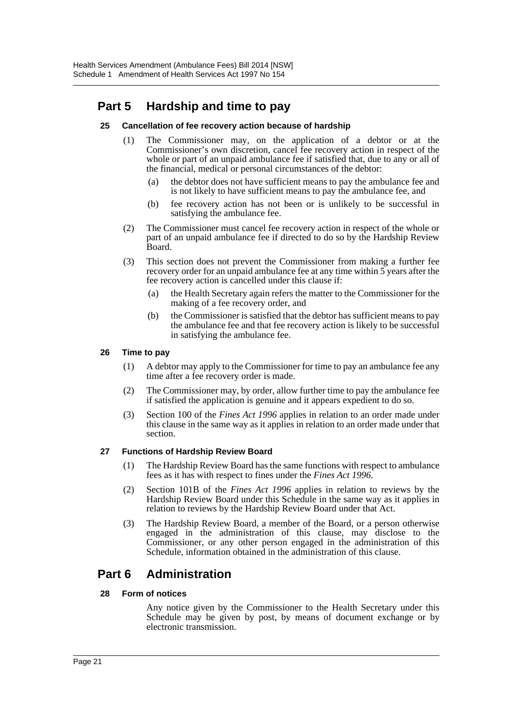# **Part 5 Hardship and time to pay**

#### **25 Cancellation of fee recovery action because of hardship**

- (1) The Commissioner may, on the application of a debtor or at the Commissioner's own discretion, cancel fee recovery action in respect of the whole or part of an unpaid ambulance fee if satisfied that, due to any or all of the financial, medical or personal circumstances of the debtor:
	- (a) the debtor does not have sufficient means to pay the ambulance fee and is not likely to have sufficient means to pay the ambulance fee, and
	- (b) fee recovery action has not been or is unlikely to be successful in satisfying the ambulance fee.
- (2) The Commissioner must cancel fee recovery action in respect of the whole or part of an unpaid ambulance fee if directed to do so by the Hardship Review Board.
- (3) This section does not prevent the Commissioner from making a further fee recovery order for an unpaid ambulance fee at any time within 5 years after the fee recovery action is cancelled under this clause if:
	- (a) the Health Secretary again refers the matter to the Commissioner for the making of a fee recovery order, and
	- (b) the Commissioner is satisfied that the debtor has sufficient means to pay the ambulance fee and that fee recovery action is likely to be successful in satisfying the ambulance fee.

#### **26 Time to pay**

- (1) A debtor may apply to the Commissioner for time to pay an ambulance fee any time after a fee recovery order is made.
- (2) The Commissioner may, by order, allow further time to pay the ambulance fee if satisfied the application is genuine and it appears expedient to do so.
- (3) Section 100 of the *Fines Act 1996* applies in relation to an order made under this clause in the same way as it applies in relation to an order made under that section.

#### **27 Functions of Hardship Review Board**

- (1) The Hardship Review Board has the same functions with respect to ambulance fees as it has with respect to fines under the *Fines Act 1996*.
- (2) Section 101B of the *Fines Act 1996* applies in relation to reviews by the Hardship Review Board under this Schedule in the same way as it applies in relation to reviews by the Hardship Review Board under that Act.
- (3) The Hardship Review Board, a member of the Board, or a person otherwise engaged in the administration of this clause, may disclose to the Commissioner, or any other person engaged in the administration of this Schedule, information obtained in the administration of this clause.

# **Part 6 Administration**

#### **28 Form of notices**

Any notice given by the Commissioner to the Health Secretary under this Schedule may be given by post, by means of document exchange or by electronic transmission.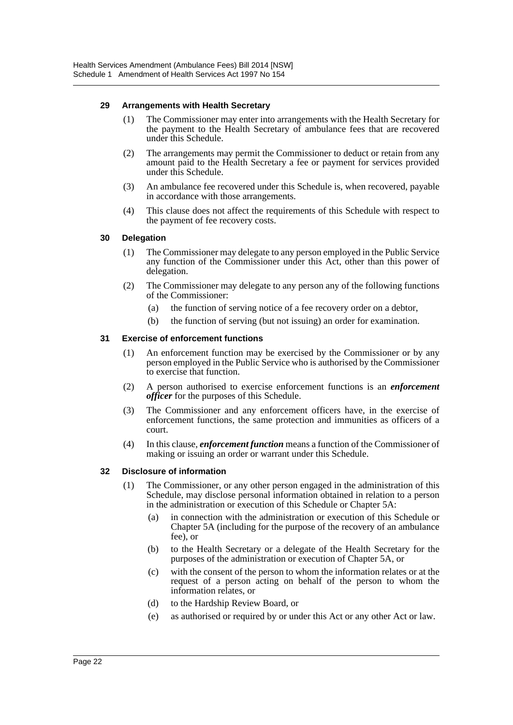#### **29 Arrangements with Health Secretary**

- (1) The Commissioner may enter into arrangements with the Health Secretary for the payment to the Health Secretary of ambulance fees that are recovered under this Schedule.
- (2) The arrangements may permit the Commissioner to deduct or retain from any amount paid to the Health Secretary a fee or payment for services provided under this Schedule.
- (3) An ambulance fee recovered under this Schedule is, when recovered, payable in accordance with those arrangements.
- (4) This clause does not affect the requirements of this Schedule with respect to the payment of fee recovery costs.

#### **30 Delegation**

- (1) The Commissioner may delegate to any person employed in the Public Service any function of the Commissioner under this Act, other than this power of delegation.
- (2) The Commissioner may delegate to any person any of the following functions of the Commissioner:
	- (a) the function of serving notice of a fee recovery order on a debtor,
	- (b) the function of serving (but not issuing) an order for examination.

#### **31 Exercise of enforcement functions**

- (1) An enforcement function may be exercised by the Commissioner or by any person employed in the Public Service who is authorised by the Commissioner to exercise that function.
- (2) A person authorised to exercise enforcement functions is an *enforcement officer* for the purposes of this Schedule.
- (3) The Commissioner and any enforcement officers have, in the exercise of enforcement functions, the same protection and immunities as officers of a court.
- (4) In this clause, *enforcement function* means a function of the Commissioner of making or issuing an order or warrant under this Schedule.

#### **32 Disclosure of information**

- (1) The Commissioner, or any other person engaged in the administration of this Schedule, may disclose personal information obtained in relation to a person in the administration or execution of this Schedule or Chapter 5A:
	- (a) in connection with the administration or execution of this Schedule or Chapter 5A (including for the purpose of the recovery of an ambulance fee), or
	- (b) to the Health Secretary or a delegate of the Health Secretary for the purposes of the administration or execution of Chapter 5A, or
	- (c) with the consent of the person to whom the information relates or at the request of a person acting on behalf of the person to whom the information relates, or
	- (d) to the Hardship Review Board, or
	- (e) as authorised or required by or under this Act or any other Act or law.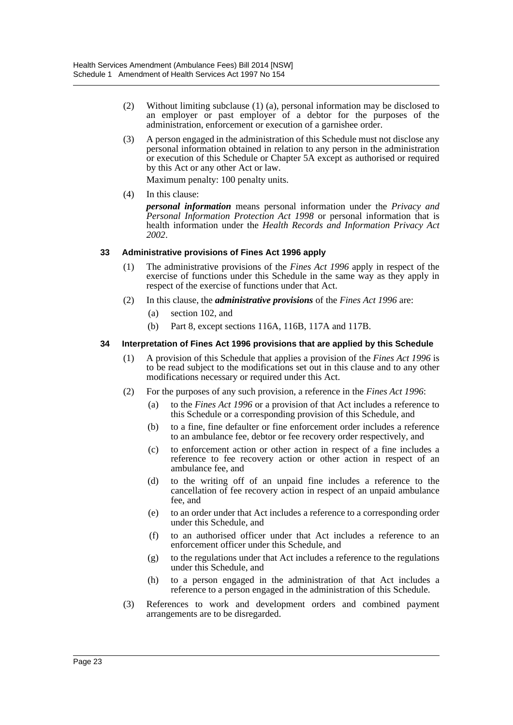- (2) Without limiting subclause (1) (a), personal information may be disclosed to an employer or past employer of a debtor for the purposes of the administration, enforcement or execution of a garnishee order.
- (3) A person engaged in the administration of this Schedule must not disclose any personal information obtained in relation to any person in the administration or execution of this Schedule or Chapter 5A except as authorised or required by this Act or any other Act or law.

Maximum penalty: 100 penalty units.

(4) In this clause:

*personal information* means personal information under the *Privacy and Personal Information Protection Act 1998* or personal information that is health information under the *Health Records and Information Privacy Act 2002*.

#### **33 Administrative provisions of Fines Act 1996 apply**

- (1) The administrative provisions of the *Fines Act 1996* apply in respect of the exercise of functions under this Schedule in the same way as they apply in respect of the exercise of functions under that Act.
- (2) In this clause, the *administrative provisions* of the *Fines Act 1996* are:
	- (a) section 102, and
	- (b) Part 8, except sections 116A, 116B, 117A and 117B.

#### **34 Interpretation of Fines Act 1996 provisions that are applied by this Schedule**

- (1) A provision of this Schedule that applies a provision of the *Fines Act 1996* is to be read subject to the modifications set out in this clause and to any other modifications necessary or required under this Act.
- (2) For the purposes of any such provision, a reference in the *Fines Act 1996*:
	- (a) to the *Fines Act 1996* or a provision of that Act includes a reference to this Schedule or a corresponding provision of this Schedule, and
	- (b) to a fine, fine defaulter or fine enforcement order includes a reference to an ambulance fee, debtor or fee recovery order respectively, and
	- (c) to enforcement action or other action in respect of a fine includes a reference to fee recovery action or other action in respect of an ambulance fee, and
	- (d) to the writing off of an unpaid fine includes a reference to the cancellation of fee recovery action in respect of an unpaid ambulance fee, and
	- (e) to an order under that Act includes a reference to a corresponding order under this Schedule, and
	- (f) to an authorised officer under that Act includes a reference to an enforcement officer under this Schedule, and
	- (g) to the regulations under that Act includes a reference to the regulations under this Schedule, and
	- (h) to a person engaged in the administration of that Act includes a reference to a person engaged in the administration of this Schedule.
- (3) References to work and development orders and combined payment arrangements are to be disregarded.